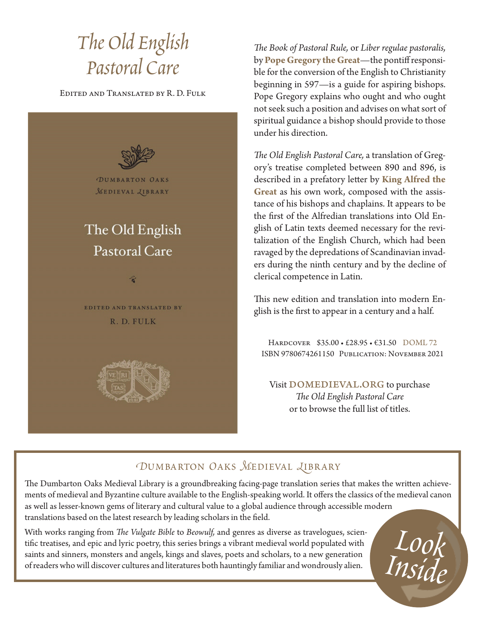# *The Old English Pastoral Care*

Edited and Translated by R. D. Fulk



*The Book of Pastoral Rule,* or *Liber regulae pastoralis,* by **Pope Gregory the Great**—the pontiff responsible for the conversion of the English to Christianity beginning in 597—is a guide for aspiring bishops. Pope Gregory explains who ought and who ought not seek such a position and advises on what sort of spiritual guidance a bishop should provide to those under his direction.

*The Old English Pastoral Care,* a translation of Gregory's treatise completed between 890 and 896, is described in a prefatory letter by **King Alfred the Great** as his own work, composed with the assistance of his bishops and chaplains. It appears to be the first of the Alfredian translations into Old English of Latin texts deemed necessary for the revitalization of the English Church, which had been ravaged by the depredations of Scandinavian invaders during the ninth century and by the decline of clerical competence in Latin.

This new edition and translation into modern English is the first to appear in a century and a half.

Hardcover \$35.00 • £28.95 • €31.50 DOML 72 ISBN 9780674261150 Publication: November 2021

Visit DOMEDIEVAL.ORG to purchase *The Old English Pastoral Care* or to browse the full list of titles.

*Look* 

*Inside*

### *DUMBARTON OAKS MEDIEVAL LIBRARY*

The Dumbarton Oaks Medieval Library is a groundbreaking facing-page translation series that makes the written achievements of medieval and Byzantine culture available to the English-speaking world. It offers the classics of the medieval canon as well as lesser-known gems of literary and cultural value to a global audience through accessible modern translations based on the latest research by leading scholars in the field.

With works ranging from *The Vulgate Bible* to *Beowulf,* and genres as diverse as travelogues, scientific treatises, and epic and lyric poetry, this series brings a vibrant medieval world populated with saints and sinners, monsters and angels, kings and slaves, poets and scholars, to a new generation of readers who will discover cultures and literatures both hauntingly familiar and wondrously alien.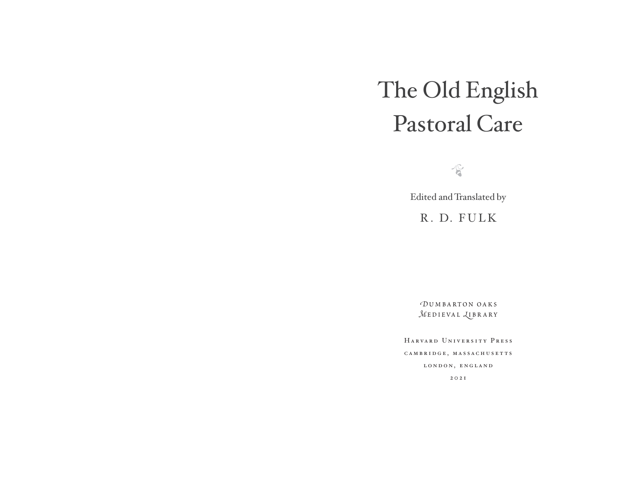# The Old English Pastoral Care

 $\sqrt{6}$ 

Edited and Translated by

R. D. FULK

*D*umbarton oaks  $MEDIEVAL$  *LUBRARY* 

HarvardUniversityPress CAMBRIDGE, MASSACHUSETTS LONDON, ENGLAND 2021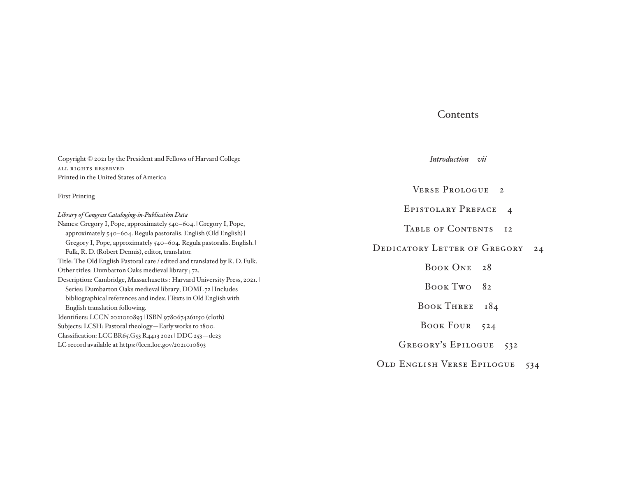#### Contents

| Copyright © 2021 by the President and Fellows of Harvard College            | Introduction<br>$\mathcal{V}^{11}$          |
|-----------------------------------------------------------------------------|---------------------------------------------|
| ALL RIGHTS RESERVED                                                         |                                             |
| Printed in the United States of America                                     |                                             |
| <b>First Printing</b>                                                       | VERSE PROLOGUE<br>$\overline{2}$            |
| Library of Congress Cataloging-in-Publication Data                          | <b>EPISTOLARY PREFACE</b><br>$\overline{4}$ |
| Names: Gregory I, Pope, approximately 540-604.   Gregory I, Pope,           | TABLE OF CONTENTS                           |
| approximately 540–604. Regula pastoralis. English (Old English)             | I <sub>2</sub>                              |
| Gregory I, Pope, approximately 540-604. Regula pastoralis. English.         | <b>DEDICATORY LETTER OF GREGORY</b>         |
| Fulk, R. D. (Robert Dennis), editor, translator.                            | 24                                          |
| Title: The Old English Pastoral care / edited and translated by R. D. Fulk. | BOOK ONE                                    |
| Other titles: Dumbarton Oaks medieval library; 72.                          | 28                                          |
| Description: Cambridge, Massachusetts: Harvard University Press, 2021.      | BOOK Two                                    |
| Series: Dumbarton Oaks medieval library; DOML 72   Includes                 | 82                                          |
| bibliographical references and index.   Texts in Old English with           | <b>BOOK THREE</b>                           |
| English translation following.                                              | 184                                         |
| Identifiers: LCCN 2021010893 ISBN 9780674261150 (cloth)                     | BOOK FOUR                                   |
| Subjects: LCSH: Pastoral theology-Early works to 1800.                      | 524                                         |
| Classification: LCC BR65.G53 R4413 2021   DDC 253-dc23                      | <b>GREGORY'S EPILOGUE</b>                   |
| LC record available at https://lccn.loc.gov/2021010893                      | 532                                         |
|                                                                             | OLD ENGLISH VERSE EPILOGUE<br>534           |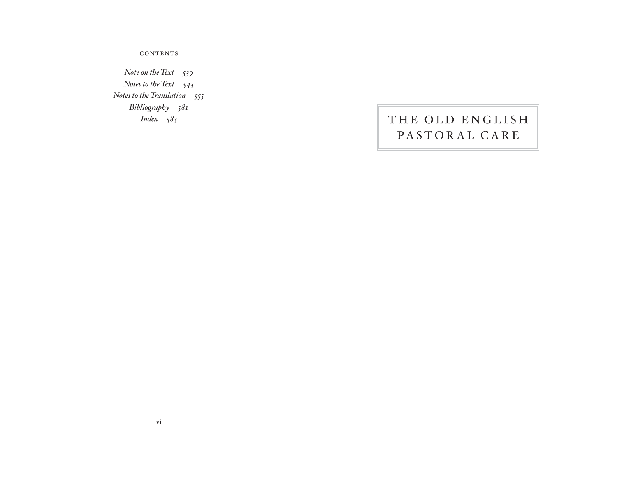contents

*Note on the Text-539 Notes to the Text-543 Notes to the Translation-555 Bibliography-581 Index-*

## THE OLD ENGLISH PASTORAL CARE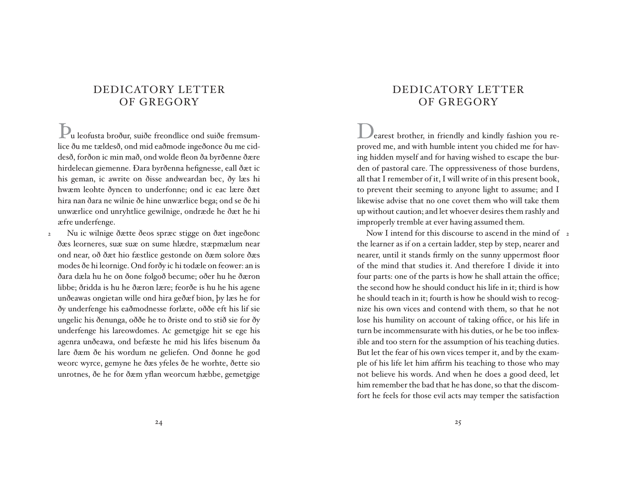### DEDICATORYLETTER OF GREGORY

Þu leofusta broður, suiðe freondlice ond suiðe fremsumlice ðu me tældesð, ond mid eaðmode ingeðonce ðu me ciddesð, forðon ic min mað, ond wolde fleon ða byrðenne ðære hirdelecan giemenne. Ðara byrðenna hefignesse, eall ðæt ic his geman, ic awrite on ðisse andweardan bec, ðy læs hi hwæm leohte ðyncen to underfonne; ond ic eac lære ðæt hira nan ðara ne wilnie ðe hine unwærlice bega; ond se ðe hi unwærlice ond unryhtlice gewilnige, ondræde he ðæt he hi æfre underfenge.

 Nu ic wilnige ðætte ðeos spræc stigge on ðæt ingeðonc ðæs leorneres, suæ suæ on sume hlædre, stæpmælum near ond near, oð ðæt hio fæstlice gestonde on ðæm solore ðæs modes ðe hi leornige. Ond forðy ic hi todæle on feower: an is ðara dæla hu he on ðone folgoð becume; oðer hu he ðæron libbe; ðridda is hu he ðæron lære; feorðe is hu he his agene unðeawas ongietan wille ond hira geðæf bion, þy læs he for ðy underfenge his eaðmodnesse forlæte, oððe eft his lif sie ungelic his ðenunga, oððe he to ðriste ond to stið sie for ðy underfenge his lareowdomes. Ac gemetgige hit se ege his agenra unðeawa, ond befæste he mid his lifes bisenum ða lare ðæm ðe his wordum ne geliefen. Ond ðonne he god weorc wyrce, gemyne he ðæs yfeles ðe he worhte, ðette sio unrotnes, ðe he for ðæm yflan weorcum hæbbe, gemetgige 2

### DEDICATORYLETTER OF GREGORY

Dearest brother, in friendly and kindly fashion you reproved me, and with humble intent you chided me for having hidden myself and for having wished to escape the burden of pastoral care. The oppressiveness of those burdens, all that I remember of it, I will write of in this present book, to prevent their seeming to anyone light to assume; and I likewise advise that no one covet them who will take them up without caution; and let whoever desires them rashly and improperly tremble at ever having assumed them.

Now I intend for this discourse to ascend in the mind of <sub>2</sub> the learner as if on a certain ladder, step by step, nearer and nearer, until it stands firmly on the sunny uppermost floor of the mind that studies it. And therefore I divide it into four parts: one of the parts is how he shall attain the office; the second how he should conduct his life in it; third is how he should teach in it; fourth is how he should wish to recognize his own vices and contend with them, so that he not lose his humility on account of taking office, or his life in turn be incommensurate with his duties, or he be too inflexible and too stern for the assumption of his teaching duties. But let the fear of his own vices temper it, and by the example of his life let him affirm his teaching to those who may not believe his words. And when he does a good deed, let him remember the bad that he has done, so that the discomfort he feels for those evil acts may temper the satisfaction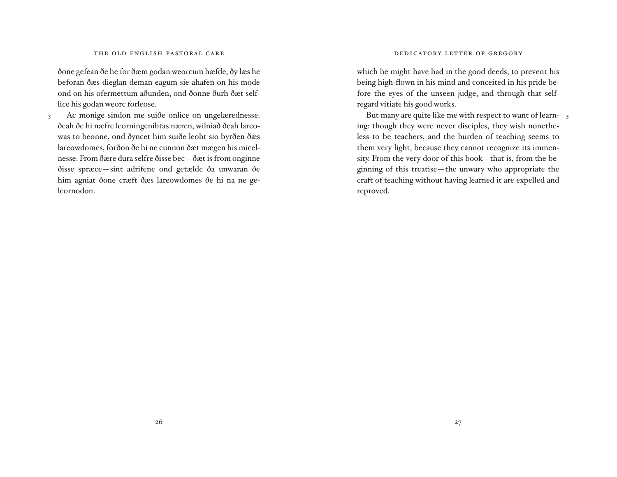ðone gefean ðe he for ðæm godan weorcum hæfde, ðy læs he beforan ðæs dieglan deman eagum sie ahafen on his mode ond on his ofermettum aðunden, ond ðonne ðurh ðæt selflice his godan weorc forleose.

 Ac monige sindon me suiðe onlice on ungelærednesse: ðeah ðe hi næfre leorningcnihtas næren, wilniað ðeah lareowas to beonne, ond ðyncet him suiðe leoht sio byrðen ðæs lareowdomes, forðon ðe hi ne cunnon ðæt mægen his micelnesse. From ðære dura selfre ðisse bec—ðæt is from onginne ðisse spræce—sint adrifene ond getælde ða unwaran ðe him agniat ðone cræft ðæs lareowdomes ðe hi na ne geleornodon. 3

which he might have had in the good deeds, to prevent his being high-flown in his mind and conceited in his pride before the eyes of the unseen judge, and through that selfregard vitiate his good works.

But many are quite like me with respect to want of learning: though they were never disciples, they wish nonetheless to be teachers, and the burden of teaching seems to them very light, because they cannot recognize its immensity. From the very door of this book—that is, from the beginning of this treatise—the unwary who appropriate the craft of teaching without having learned it are expelled and reproved.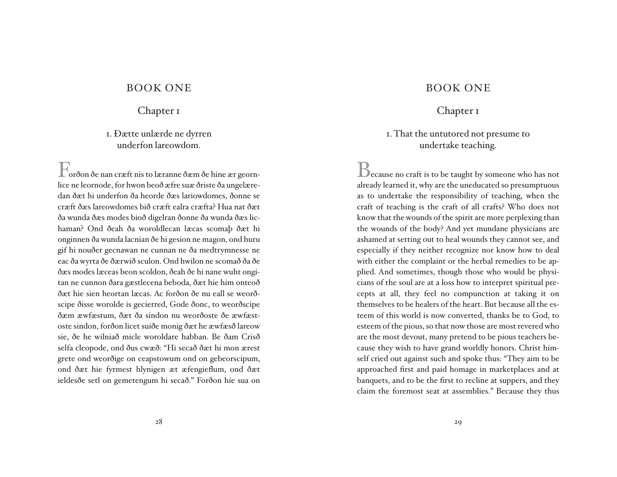#### BOOK ONE

#### Chapter 1

#### i. Ðætte unlærde ne dyrren underfon lareowdom.

Forðon ðe nan cræft nis to læranne ðæm ðe hine ær geornlice ne leornode, for hwon beoð æfre suæ ðriste ða ungelæredan ðæt hi underfon ða heorde ðæs lariowdomes, ðonne se cræft ðæs lareowdomes bið cræft ealra cræfta? Hua nat ðæt ða wunda ðæs modes bioð digelran ðonne ða wunda ðæs lichaman? Ond ðeah ða woroldlecan læcas scomaþ ðæt hi onginnen ða wunda lacnian ðe hi gesion ne magon, ond huru gif hi nouðer gecnawan ne cunnan ne ða medtrymnesse ne eac ða wyrta ðe ðærwið sculon. Ond hwilon ne scomað ða ðe ðæs modes læceas beon scoldon, ðeah ðe hi nane wuht ongitan ne cunnon ðara gæstlecena beboda, ðæt hie him onteoð ðæt hie sien heor tan læcas. Ac forðon ðe nu eall se weorðscipe ðisse worolde is gecierred, Gode ðonc, to weorð scipe ðæm æwfæstum, ðæt ða sindon nu weorðoste ðe æwfæstoste sindon, forðon licet suiðe monig ðæt he æwfæsð lareow sie, ðe he wilniað micle woroldare habban. Be ðam Crisð selfa cleopode, ond ðus cwæð: "Hi secað ðæt hi mon ærest grete ond weorðige on ceapstowum ond on gebeorscipum, ond ðæt hie fyrmest hlynigen æt æfengieflum, ond ðæt ieldesðe setl on gemetengum hi secað." Forðon hie sua on

### BOOKONE

#### Chapter 1

#### 1. That the untutored not presume to undertake teaching.

Decause no craft is to be taught by someone who has not already learned it, why are the uneducated so presumptuous as to undertake the responsibility of teaching, when the craft of teaching is the craft of all crafts? Who does not know that the wounds of the spirit are more perplexing than the wounds of the body? And yet mundane physicians are ashamed at setting out to heal wounds they cannot see, and especially if they neither recognize nor know how to deal with either the complaint or the herbal remedies to be applied. And sometimes, though those who would be physicians of the soul are at a loss how to interpret spiritual precepts at all, they feel no compunction at taking it on themselves to be healers of the heart. But because all the esteem of this world is now converted, thanks be to God, to esteem of the pious, so that now those are most revered who are the most devout, many pretend to be pious teachers because they wish to have grand worldly honors. Christ himself cried out against such and spoke thus: "They aim to be approached first and paid homage in marketplaces and at banquets, and to be the first to recline at suppers, and they claim the foremost seat at assemblies." Because they thus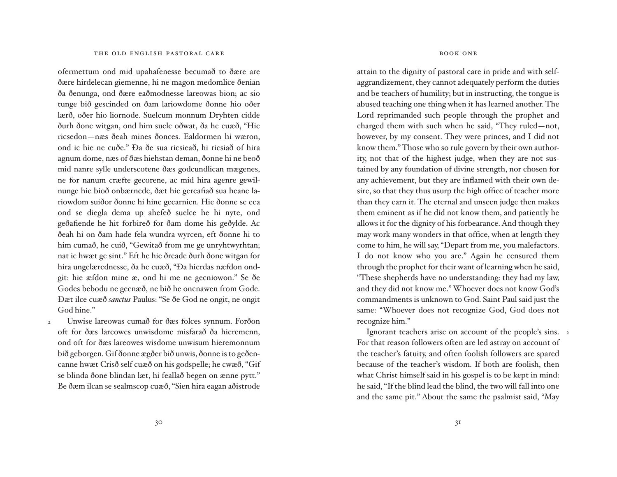ofermettum ond mid upahafenesse becumað to ðære are ðære hirdelecan giemenne, hi ne magon medomlice ðenian ða ðenunga, ond ðære eaðmodnesse lareowas bion; ac sio tunge bið gescinded on ðam lariowdome ðonne hio oðer lærð, oðer hio liornode. Suelcum monnum Dryhten cidde ðurh ðone witgan, ond him suelc oðwat, ða he cuæð, "Hie ricsedon—næs ðeah mines ðonces. Ealdormen hi wæron, ond ic hie ne cuðe." Ða ðe sua ricsieað, hi ricsiað of hira agnum dome, næs of ðæs hiehstan deman, ðonne hi ne beoð mid nanre sylle underscotene ðæs godcundlican mægenes, ne for nanum cræfte gecorene, ac mid hira agenre gewilnunge hie bioð onbærnede, ðæt hie gereafiað sua heane lariowdom suiðor ðonne hi hine geearnien. Hie ðonne se eca ond se diegla dema up ahefeð suelce he hi nyte, ond geðafiende he hit forbireð for ðam dome his geðylde. Ac ðeah hi on ðam hade fela wundra wyrcen, eft ðonne hi to him cumað, he cuið, "Gewitað from me ge unryhtwyrhtan; nat ic hwæt ge sint." Eft he hie ðreade ðurh ðone witgan for hira ungelærednesse, ða he cuæð, "Ða hierdas næfdon ondgit: hie æfdon mine æ, ond hi me ne gecniowon." Se ðe Godes bebodu ne gecnæð, ne bið he oncnawen from Gode. Ðæt ilce cuæð *sanctus* Paulus: "Se ðe God ne ongit, ne ongit God hine."

Unwise lareowas cumað for ðæs folces synnum. Forðon oft for ðæs lareowes unwisdome misfarað ða hieremenn, ond oft for ðæs lareowes wisdome unwisum hieremonnum bið geborgen. Gif ðonne ægðer bið unwis, ðonne is to geðencanne hwæt Crisð self cuæð on his godspelle; he cwæð, "Gif se blinda ðone blindan læt, hi feallað begen on ænne pytt." Be ðæm ilcan se sealmscop cuæð, "Sien hira eagan aðistrode 2

#### bookone

attain to the dignity of pastoral care in pride and with selfaggrandizement, they cannot adequately perform the duties and be teachers of humility; but in instructing, the tongue is abused teaching one thing when it has learned another. The Lord reprimanded such people through the prophet and charged them with such when he said, "They ruled—not, however, by my consent. They were princes, and I did not know them." Those who so rule govern by their own authority, not that of the highest judge, when they are not sustained by any foundation of divine strength, nor chosen for any achievement, but they are inflamed with their own desire, so that they thus usurp the high office of teacher more than they earn it. The eternal and unseen judge then makes them eminent as if he did not know them, and patiently he allows it for the dignity of his forbearance. And though they may work many wonders in that office, when at length they come to him, he will say, "Depart from me, you malefactors. I do not know who you are." Again he censured them through the prophet for their want of learning when he said, "These shepherds have no understanding: they had my law, and they did not know me." Whoever does not know God's commandments is unknown to God. Saint Paul said just the same: "Whoever does not recognize God, God does not recognize him."

 Ignorant teachers arise on account of the people's sins. 2For that reason followers often are led astray on account of the teacher's fatuity, and often foolish followers are spared because of the teacher's wisdom. If both are foolish, then what Christ himself said in his gospel is to be kept in mind: he said, "If the blind lead the blind, the two will fall into one and the same pit." About the same the psalmist said, "May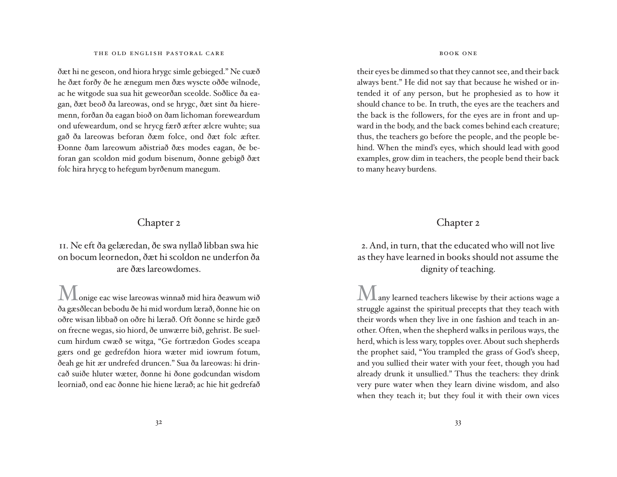ðæt hi ne geseon, ond hiora hrygc simle gebieged." Ne cuæð he ðæt forðy ðe he ænegum men ðæs wyscte oððe wilnode, ac he witgode sua sua hit geweor ðan sceolde. Soðlice ða eagan, ðæt beoð ða lareowas, ond se hrygc, ðæt sint ða hieremenn, forðan ða eagan bioð on ðam lichoman foreweardum ond ufeweardum, ond se hrycg færð æfter ælcre wuhte; sua gað ða lareowas beforan ðæm folce, ond ðæt folc æfter. Ðonne ðam lareowum aðistriað ðæs modes eagan, ðe beforan gan scoldon mid godum bisenum, ðonne gebigð ðæt folc hira hrycg to hefegum byrðenum manegum.

#### Chapter 2

ii. Ne eft ða gelæredan, ðe swa nyllað libban swa hie on bocum leornedon, ðæt hi scoldon ne underfon ða are ðæs lareowdomes.

 $\mathbf{l}_{\text{onige}}$  eac wise lareowas winnað mid hira ðeawum wið ða gæsðlecan bebodu ðe hi mid wordum lærað, ðonne hie on oðre wisan libbað on oðre hi lærað. Oft ðonne se hirde gæð on frecne wegas, sio hiord, ðe unwærre bið, gehrist. Be suelcum hirdum cwæð se witga, "Ge fortrædon Godes sceapa gærs ond ge gedrefdon hiora wæter mid iowrum fotum, ðeah ge hit ær undrefed druncen." Sua ða lareowas: hi drincað suiðe hluter wæter, ðonne hi ðone godcundan wisdom leorniað, ond eac ðonne hie hiene lærað; ac hie hit gedrefað

#### bookone

their eyes be dimmed so that they cannot see, and their back always bent." He did not say that because he wished or intended it of any person, but he prophesied as to how it should chance to be. In truth, the eyes are the teachers and the back is the followers, for the eyes are in front and upward in the body, and the back comes behind each creature; thus, the teachers go before the people, and the people behind. When the mind's eyes, which should lead with good examples, grow dim in teachers, the people bend their back to many heavy burdens.

#### Chapter 2

2. And, in turn, that the educated who will not live as they have learned in books should not assume the dignity of teaching.

 $\mathbf{I} \mathbf{V} \mathbf{I}$  any learned teachers likewise by their actions wage a struggle against the spiritual precepts that they teach with their words when they live in one fashion and teach in another. Often, when the shepherd walks in perilous ways, the herd, which is less wary, topples over. About such shepherds the prophet said, "You trampled the grass of God's sheep, and you sullied their water with your feet, though you had already drunk it unsullied." Thus the teachers: they drink very pure water when they learn divine wisdom, and also when they teach it; but they foul it with their own vices